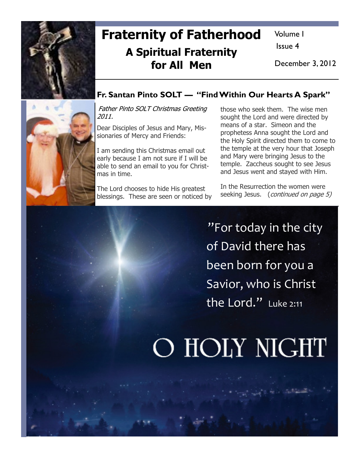

# Fraternity of Fatherhood A Spiritual Fraternity for All Men

Volume I

Issue 4

December 3, 2012



# Fr. Santan Pinto SOLT — "Find Within Our Hearts A Spark"

Father Pinto SOLT Christmas Greeting 2011.

Dear Disciples of Jesus and Mary, Missionaries of Mercy and Friends:

I am sending this Christmas email out early because I am not sure if I will be able to send an email to you for Christmas in time.

The Lord chooses to hide His greatest blessings. These are seen or noticed by those who seek them. The wise men sought the Lord and were directed by means of a star. Simeon and the prophetess Anna sought the Lord and the Holy Spirit directed them to come to the temple at the very hour that Joseph and Mary were bringing Jesus to the temple. Zaccheus sought to see Jesus and Jesus went and stayed with Him.

In the Resurrection the women were seeking Jesus. (*continued on page 5*)

"For today in the city of David there has been born for you a Savior, who is Christ the Lord." Luke 2:11

# O HOLY NIGHT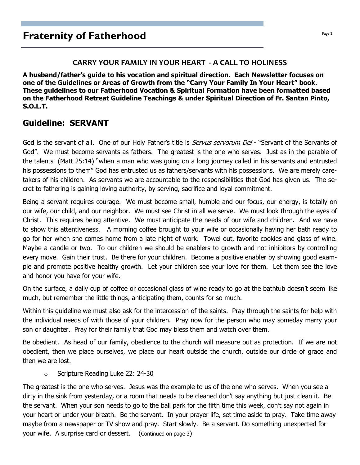# **Fraternity of Fatherhood Page 2 Page 2**

### CARRY YOUR FAMILY IN YOUR HEART - A CALL TO HOLINESS

A husband/father's guide to his vocation and spiritual direction. Each Newsletter focuses on one of the Guidelines or Areas of Growth from the "Carry Your Family In Your Heart" book. These guidelines to our Fatherhood Vocation & Spiritual Formation have been formatted based on the Fatherhood Retreat Guideline Teachings & under Spiritual Direction of Fr. Santan Pinto, S.O.L.T.

# Guideline: SERVANT

God is the servant of all. One of our Holy Father's title is *Servus servorum Dei* - "Servant of the Servants of God". We must become servants as fathers. The greatest is the one who serves. Just as in the parable of the talents (Matt 25:14) "when a man who was going on a long journey called in his servants and entrusted his possessions to them" God has entrusted us as fathers/servants with his possessions. We are merely caretakers of his children. As servants we are accountable to the responsibilities that God has given us. The secret to fathering is gaining loving authority, by serving, sacrifice and loyal commitment.

Being a servant requires courage. We must become small, humble and our focus, our energy, is totally on our wife, our child, and our neighbor. We must see Christ in all we serve. We must look through the eyes of Christ. This requires being attentive. We must anticipate the needs of our wife and children. And we have to show this attentiveness. A morning coffee brought to your wife or occasionally having her bath ready to go for her when she comes home from a late night of work. Towel out, favorite cookies and glass of wine. Maybe a candle or two. To our children we should be enablers to growth and not inhibitors by controlling every move. Gain their trust. Be there for your children. Become a positive enabler by showing good example and promote positive healthy growth. Let your children see your love for them. Let them see the love and honor you have for your wife.

On the surface, a daily cup of coffee or occasional glass of wine ready to go at the bathtub doesn't seem like much, but remember the little things, anticipating them, counts for so much.

Within this guideline we must also ask for the intercession of the saints. Pray through the saints for help with the individual needs of with those of your children. Pray now for the person who may someday marry your son or daughter. Pray for their family that God may bless them and watch over them.

Be obedient. As head of our family, obedience to the church will measure out as protection. If we are not obedient, then we place ourselves, we place our heart outside the church, outside our circle of grace and then we are lost.

o Scripture Reading Luke 22: 24-30

The greatest is the one who serves. Jesus was the example to us of the one who serves. When you see a dirty in the sink from yesterday, or a room that needs to be cleaned don't say anything but just clean it. Be the servant. When your son needs to go to the ball park for the fifth time this week, don't say not again in your heart or under your breath. Be the servant. In your prayer life, set time aside to pray. Take time away maybe from a newspaper or TV show and pray. Start slowly. Be a servant. Do something unexpected for your wife. A surprise card or dessert. (Continued on page 3)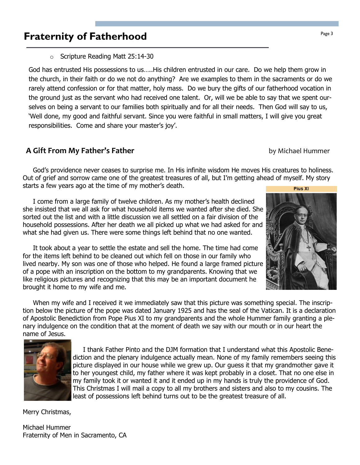# **Fraternity of Fatherhood Page 3** Fraternity of Fatherhood

o Scripture Reading Matt 25:14-30

God has entrusted His possessions to us…..His children entrusted in our care. Do we help them grow in the church, in their faith or do we not do anything? Are we examples to them in the sacraments or do we rarely attend confession or for that matter, holy mass. Do we bury the gifts of our fatherhood vocation in the ground just as the servant who had received one talent. Or, will we be able to say that we spent ourselves on being a servant to our families both spiritually and for all their needs. Then God will say to us, 'Well done, my good and faithful servant. Since you were faithful in small matters, I will give you great responsibilities. Come and share your master's joy'.

### A Gift From My Father's Father by Michael Hummer

 God's providence never ceases to surprise me. In His infinite wisdom He moves His creatures to holiness. Out of grief and sorrow came one of the greatest treasures of all, but I'm getting ahead of myself. My story starts a few years ago at the time of my mother's death. Pius XI

 I come from a large family of twelve children. As my mother's health declined she insisted that we all ask for what household items we wanted after she died. She sorted out the list and with a little discussion we all settled on a fair division of the household possessions. After her death we all picked up what we had asked for and what she had given us. There were some things left behind that no one wanted.

 It took about a year to settle the estate and sell the home. The time had come for the items left behind to be cleaned out which fell on those in our family who lived nearby. My son was one of those who helped. He found a large framed picture of a pope with an inscription on the bottom to my grandparents. Knowing that we like religious pictures and recognizing that this may be an important document he brought it home to my wife and me.

 When my wife and I received it we immediately saw that this picture was something special. The inscription below the picture of the pope was dated January 1925 and has the seal of the Vatican. It is a declaration of Apostolic Benediction from Pope Pius XI to my grandparents and the whole Hummer family granting a plenary indulgence on the condition that at the moment of death we say with our mouth or in our heart the name of Jesus.



 I thank Father Pinto and the DJM formation that I understand what this Apostolic Benediction and the plenary indulgence actually mean. None of my family remembers seeing this picture displayed in our house while we grew up. Our guess it that my grandmother gave it to her youngest child, my father where it was kept probably in a closet. That no one else in my family took it or wanted it and it ended up in my hands is truly the providence of God. This Christmas I will mail a copy to all my brothers and sisters and also to my cousins. The least of possessions left behind turns out to be the greatest treasure of all.

Merry Christmas,

Michael Hummer Fraternity of Men in Sacramento, CA

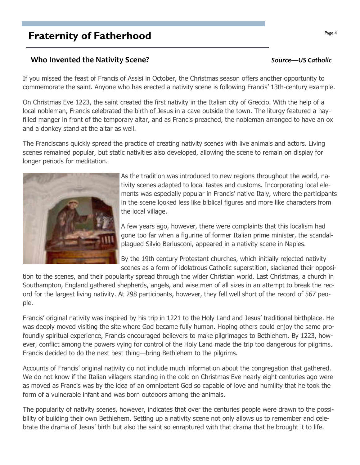# **Fraternity of Fatherhood Page 4**  $\frac{Page 4}{Page 4}$

### Who Invented the Nativity Scene? National Source—US Catholic Source—US Catholic

If you missed the feast of Francis of Assisi in October, the Christmas season offers another opportunity to commemorate the saint. Anyone who has erected a nativity scene is following Francis' 13th-century example.

On Christmas Eve 1223, the saint created the first nativity in the Italian city of Greccio. With the help of a local nobleman, Francis celebrated the birth of Jesus in a cave outside the town. The liturgy featured a hayfilled manger in front of the temporary altar, and as Francis preached, the nobleman arranged to have an ox and a donkey stand at the altar as well.

The Franciscans quickly spread the practice of creating nativity scenes with live animals and actors. Living scenes remained popular, but static nativities also developed, allowing the scene to remain on display for longer periods for meditation.



A few years ago, however, there were complaints that this localism had gone too far when a figurine of former Italian prime minister, the scandalplagued Silvio Berlusconi, appeared in a nativity scene in Naples.

By the 19th century Protestant churches, which initially rejected nativity scenes as a form of idolatrous Catholic superstition, slackened their opposi-

tion to the scenes, and their popularity spread through the wider Christian world. Last Christmas, a church in Southampton, England gathered shepherds, angels, and wise men of all sizes in an attempt to break the record for the largest living nativity. At 298 participants, however, they fell well short of the record of 567 people.

Francis' original nativity was inspired by his trip in 1221 to the Holy Land and Jesus' traditional birthplace. He was deeply moved visiting the site where God became fully human. Hoping others could enjoy the same profoundly spiritual experience, Francis encouraged believers to make pilgrimages to Bethlehem. By 1223, however, conflict among the powers vying for control of the Holy Land made the trip too dangerous for pilgrims. Francis decided to do the next best thing—bring Bethlehem to the pilgrims.

Accounts of Francis' original nativity do not include much information about the congregation that gathered. We do not know if the Italian villagers standing in the cold on Christmas Eve nearly eight centuries ago were as moved as Francis was by the idea of an omnipotent God so capable of love and humility that he took the form of a vulnerable infant and was born outdoors among the animals.

The popularity of nativity scenes, however, indicates that over the centuries people were drawn to the possibility of building their own Bethlehem. Setting up a nativity scene not only allows us to remember and celebrate the drama of Jesus' birth but also the saint so enraptured with that drama that he brought it to life.

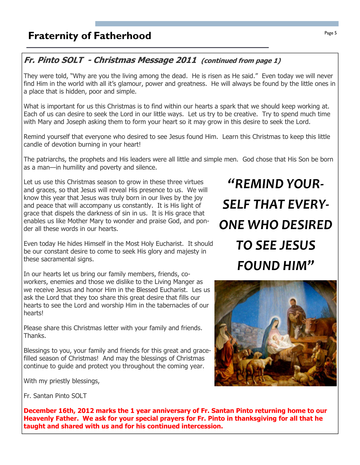# Fr. Pinto SOLT - Christmas Message 2011 (continued from page 1)

They were told, "Why are you the living among the dead. He is risen as He said." Even today we will never find Him in the world with all it's glamour, power and greatness. He will always be found by the little ones in a place that is hidden, poor and simple.

What is important for us this Christmas is to find within our hearts a spark that we should keep working at. Each of us can desire to seek the Lord in our little ways. Let us try to be creative. Try to spend much time with Mary and Joseph asking them to form your heart so it may grow in this desire to seek the Lord.

Remind yourself that everyone who desired to see Jesus found Him. Learn this Christmas to keep this little candle of devotion burning in your heart!

The patriarchs, the prophets and His leaders were all little and simple men. God chose that His Son be born as a man—in humility and poverty and silence.

Let us use this Christmas season to grow in these three virtues and graces, so that Jesus will reveal His presence to us. We will know this year that Jesus was truly born in our lives by the joy and peace that will accompany us constantly. It is His light of grace that dispels the darkness of sin in us. It is His grace that enables us like Mother Mary to wonder and praise God, and ponder all these words in our hearts.

Even today He hides Himself in the Most Holy Eucharist. It should be our constant desire to come to seek His glory and majesty in these sacramental signs.

In our hearts let us bring our family members, friends, coworkers, enemies and those we dislike to the Living Manger as we receive Jesus and honor Him in the Blessed Eucharist. Les us ask the Lord that they too share this great desire that fills our hearts to see the Lord and worship Him in the tabernacles of our hearts!

Please share this Christmas letter with your family and friends. Thanks.

Blessings to you, your family and friends for this great and gracefilled season of Christmas! And may the blessings of Christmas continue to guide and protect you throughout the coming year.

With my priestly blessings,

"REMIND YOUR-SELF THAT EVERY-ONE WHO DESIRED TO SEE JESUS FOUND HIM"



Fr. Santan Pinto SOLT

December 16th, 2012 marks the 1 year anniversary of Fr. Santan Pinto returning home to our Heavenly Father. We ask for your special prayers for Fr. Pinto in thanksgiving for all that he taught and shared with us and for his continued intercession.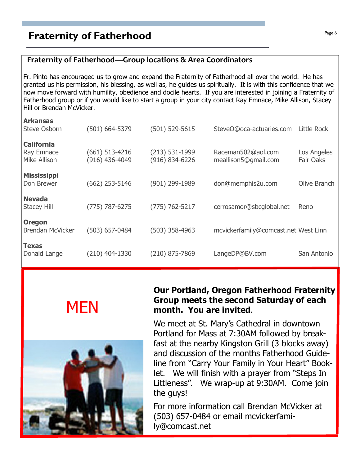# **Praternity of Fatherhood Page 6**  $\frac{Page6}{Page6}$

## Fraternity of Fatherhood—Group locations & Area Coordinators

Fr. Pinto has encouraged us to grow and expand the Fraternity of Fatherhood all over the world. He has granted us his permission, his blessing, as well as, he guides us spiritually. It is with this confidence that we now move forward with humility, obedience and docile hearts. If you are interested in joining a Fraternity of Fatherhood group or if you would like to start a group in your city contact Ray Emnace, Mike Allison, Stacey Hill or Brendan McVicker.

| <b>Arkansas</b>         |                  |                    |                                      |              |
|-------------------------|------------------|--------------------|--------------------------------------|--------------|
| Steve Osborn            | (501) 664-5379   | $(501) 529 - 5615$ | SteveO@oca-actuaries.com             | Little Rock  |
| <b>California</b>       |                  |                    |                                      |              |
| Ray Emnace              | (661) 513-4216   | $(213) 531 - 1999$ | Raceman502@aol.com                   | Los Angeles  |
| Mike Allison            | (916) 436-4049   | $(916) 834 - 6226$ | meallison5@gmail.com                 | Fair Oaks    |
| <b>Mississippi</b>      |                  |                    |                                      |              |
| Don Brewer              | $(662)$ 253-5146 | (901) 299-1989     | don@memphis2u.com                    | Olive Branch |
| <b>Nevada</b>           |                  |                    |                                      |              |
| <b>Stacey Hill</b>      | (775) 787-6275   | $(775) 762 - 5217$ | cerrosamor@sbcglobal.net             | Reno         |
|                         |                  |                    |                                      |              |
| <b>Oregon</b>           |                  |                    |                                      |              |
| <b>Brendan McVicker</b> | (503) 657-0484   | $(503)$ 358-4963   | mcvickerfamily@comcast.net West Linn |              |
| Texas                   |                  |                    |                                      |              |
| Donald Lange            | (210) 404-1330   | (210) 875-7869     | LangeDP@BV.com                       | San Antonio  |
|                         |                  |                    |                                      |              |





# Our Portland, Oregon Fatherhood Fraternity Group meets the second Saturday of each month. You are invited.

We meet at St. Mary's Cathedral in downtown Portland for Mass at 7:30AM followed by breakfast at the nearby Kingston Grill (3 blocks away) and discussion of the months Fatherhood Guideline from "Carry Your Family in Your Heart" Booklet. We will finish with a prayer from "Steps In Littleness". We wrap-up at 9:30AM. Come join the guys!

For more information call Brendan McVicker at (503) 657-0484 or email mcvickerfamily@comcast.net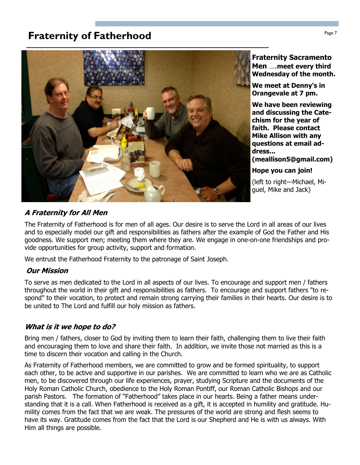# **Fraternity of Fatherhood Page 7** Fraternity of Fatherhood



Fraternity Sacramento Men ….meet every third Wednesday of the month.

We meet at Denny's in Orangevale at 7 pm.

We have been reviewing and discussing the Catechism for the year of faith. Please contact Mike Allison with any questions at email address...

(meallison5@gmail.com)

Hope you can join!

(left to right—Michael, Miguel, Mike and Jack)

### A Fraternity for All Men

The Fraternity of Fatherhood is for men of all ages. Our desire is to serve the Lord in all areas of our lives and to especially model our gift and responsibilities as fathers after the example of God the Father and His goodness. We support men; meeting them where they are. We engage in one-on-one friendships and provide opportunities for group activity, support and formation.

We entrust the Fatherhood Fraternity to the patronage of Saint Joseph.

### Our Mission

To serve as men dedicated to the Lord in all aspects of our lives. To encourage and support men / fathers throughout the world in their gift and responsibilities as fathers. To encourage and support fathers "to respond" to their vocation, to protect and remain strong carrying their families in their hearts. Our desire is to be united to The Lord and fulfill our holy mission as fathers.

### What is it we hope to do?

Bring men / fathers, closer to God by inviting them to learn their faith, challenging them to live their faith and encouraging them to love and share their faith. In addition, we invite those not married as this is a time to discern their vocation and calling in the Church.

As Fraternity of Fatherhood members, we are committed to grow and be formed spirituality, to support each other, to be active and supportive in our parishes. We are committed to learn who we are as Catholic men, to be discovered through our life experiences, prayer, studying Scripture and the documents of the Holy Roman Catholic Church, obedience to the Holy Roman Pontiff, our Roman Catholic Bishops and our parish Pastors. The formation of "Fatherhood" takes place in our hearts. Being a father means understanding that it is a call. When Fatherhood is received as a gift, it is accepted in humility and gratitude. Humility comes from the fact that we are weak. The pressures of the world are strong and flesh seems to have its way. Gratitude comes from the fact that the Lord is our Shepherd and He is with us always. With Him all things are possible.